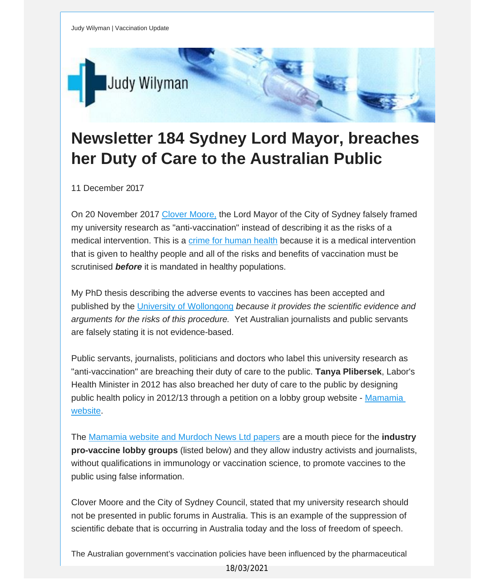

## **Newsletter 184 Sydney Lord Mayor, breaches her Duty of Care to the Australian Public**

11 December 2017

On 20 November 2017 Clover [Moore,](https://vaccinationdecisions.us8.list-manage.com/track/click?u=f20605fde3732e41929f4a3f2&id=fc4b65786d&e=fec8337d3c) the Lord Mayor of the City of Sydney falsely framed my university research as "anti-vaccination" instead of describing it as the risks of a medical intervention. This is a crime for [human](https://vaccinationdecisions.us8.list-manage.com/track/click?u=f20605fde3732e41929f4a3f2&id=25c1abc8af&e=fec8337d3c) health because it is a medical intervention that is given to healthy people and all of the risks and benefits of vaccination must be scrutinised *before* it is mandated in healthy populations.

My PhD thesis describing the adverse events to vaccines has been accepted and published by the University of [Wollongong](https://vaccinationdecisions.us8.list-manage.com/track/click?u=f20605fde3732e41929f4a3f2&id=7592e13869&e=fec8337d3c) *because it provides the scientific evidence and arguments for the risks of this procedure.* Yet Australian journalists and public servants are falsely stating it is not evidence-based.

Public servants, journalists, politicians and doctors who label this university research as "anti-vaccination" are breaching their duty of care to the public. **Tanya Plibersek**, Labor's Health Minister in 2012 has also breached her duty of care to the public by designing public health policy in 2012/13 through a petition on a lobby group website - [Mamamia](https://vaccinationdecisions.us8.list-manage.com/track/click?u=f20605fde3732e41929f4a3f2&id=e6768a80b0&e=fec8337d3c) [website](https://vaccinationdecisions.us8.list-manage.com/track/click?u=f20605fde3732e41929f4a3f2&id=e6768a80b0&e=fec8337d3c).

The [Mamamia](https://vaccinationdecisions.us8.list-manage.com/track/click?u=f20605fde3732e41929f4a3f2&id=03e7fb7378&e=fec8337d3c) website and Murdoch News Ltd papers are a mouth piece for the **industry pro-vaccine lobby groups** (listed below) and they allow industry activists and journalists, without qualifications in immunology or vaccination science, to promote vaccines to the public using false information.

Clover Moore and the City of Sydney Council, stated that my university research should not be presented in public forums in Australia. This is an example of the suppression of scientific debate that is occurring in Australia today and the loss of freedom of speech.

The Australian government's vaccination policies have been influenced by the pharmaceutical

18/03/2021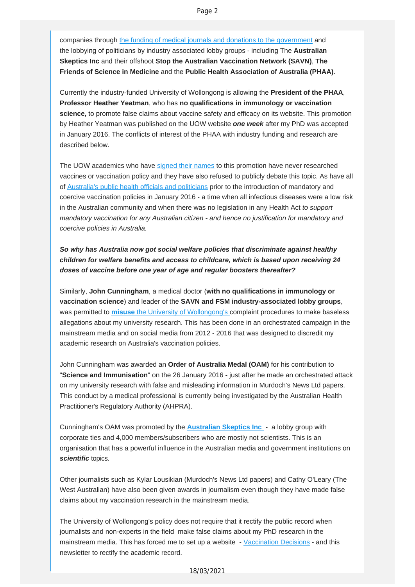companies through [the funding of medical journals and donations to the government](https://vaccinationdecisions.us8.list-manage.com/track/click?u=f20605fde3732e41929f4a3f2&id=f39444bac2&e=fec8337d3c) and the lobbying of politicians by industry associated lobby groups - including The **Australian Skeptics Inc** and their offshoot **Stop the Australian Vaccination Network (SAVN)**, **The Friends of Science in Medicine** and the **Public Health Association of Australia (PHAA)**.

Currently the industry-funded University of Wollongong is allowing the **President of the PHAA**, **Professor Heather Yeatman**, who has **no qualifications in immunology or vaccination science,** to promote false claims about vaccine safety and efficacy on its website. This promotion by Heather Yeatman was published on the UOW website *one week* after my PhD was accepted in January 2016. The conflicts of interest of the PHAA with industry funding and research are described below.

The UOW academics who have [signed their names](https://vaccinationdecisions.us8.list-manage.com/track/click?u=f20605fde3732e41929f4a3f2&id=174acd172f&e=fec8337d3c) to this promotion have never researched vaccines or vaccination policy and they have also refused to publicly debate this topic. As have all of [Australia's public health officials and politicians](https://vaccinationdecisions.us8.list-manage.com/track/click?u=f20605fde3732e41929f4a3f2&id=d4eb330d80&e=fec8337d3c) prior to the introduction of mandatory and coercive vaccination policies in January 2016 - a time when all infectious diseases were a low risk in the Australian community and when there was no legislation in any Health Act *to support mandatory vaccination for any Australian citizen - and hence no justification for mandatory and coercive policies in Australia.*

## *So why has Australia now got social welfare policies that discriminate against healthy children for welfare benefits and access to childcare, which is based upon receiving 24 doses of vaccine before one year of age and regular boosters thereafter?*

Similarly, **John Cunningham**, a medical doctor (**with no qualifications in immunology or vaccination science**) and leader of the **SAVN and FSM industry-associated lobby groups**, was permitted to **misuse** [the University of Wollongong's c](https://vaccinationdecisions.us8.list-manage.com/track/click?u=f20605fde3732e41929f4a3f2&id=ad8a8dce29&e=fec8337d3c)omplaint procedures to make baseless allegations about my university research. This has been done in an orchestrated campaign in the mainstream media and on social media from 2012 - 2016 that was designed to discredit my academic research on Australia's vaccination policies.

John Cunningham was awarded an **Order of Australia Medal (OAM)** for his contribution to "**Science and Immunisation**" on the 26 January 2016 - just after he made an orchestrated attack on my university research with false and misleading information in Murdoch's News Ltd papers. This conduct by a medical professional is currently being investigated by the Australian Health Practitioner's Regulatory Authority (AHPRA).

Cunningham's OAM was promoted by the **[Australian Skeptics Inc](https://vaccinationdecisions.us8.list-manage.com/track/click?u=f20605fde3732e41929f4a3f2&id=91e67743ae&e=fec8337d3c)** - a lobby group with corporate ties and 4,000 members/subscribers who are mostly not scientists. This is an organisation that has a powerful influence in the Australian media and government institutions on *scientific* topics.

Other journalists such as Kylar Lousikian (Murdoch's News Ltd papers) and Cathy O'Leary (The West Australian) have also been given awards in journalism even though they have made false claims about my vaccination research in the mainstream media.

The University of Wollongong's policy does not require that it rectify the public record when journalists and non-experts in the field make false claims about my PhD research in the mainstream media. This has forced me to set up a website - [Vaccination Decisions](https://vaccinationdecisions.us8.list-manage.com/track/click?u=f20605fde3732e41929f4a3f2&id=05fe229e09&e=fec8337d3c) - and this newsletter to rectify the academic record.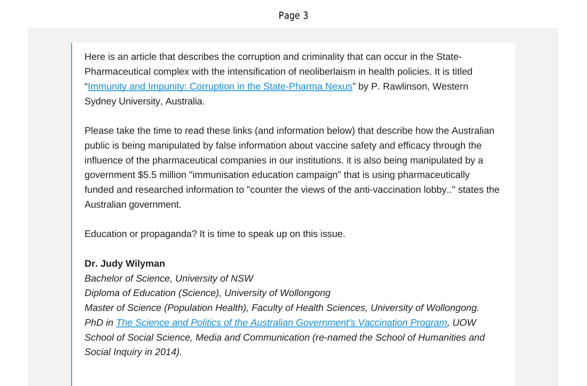Here is an article that describes the corruption and criminality that can occur in the State-Pharmaceutical complex with the intensification of neoliberlaism in health policies. It is titled "Immunity and Impunity: Corruption in the [State-Pharma](https://vaccinationdecisions.us8.list-manage.com/track/click?u=f20605fde3732e41929f4a3f2&id=9a5d3a7809&e=fec8337d3c) Nexus" by P. Rawlinson, Western Sydney University, Australia.

Please take the time to read these links (and information below) that describe how the Australian public is being manipulated by false information about vaccine safety and efficacy through the influence of the pharmaceutical companies in our institutions. it is also being manipulated by a government \$5.5 million "immunisation education campaign" that is using pharmaceutically funded and researched information to "counter the views of the anti-vaccination lobby.." states the Australian government.

Education or propaganda? It is time to speak up on this issue.

## **Dr. Judy Wilyman**

*Bachelor of Science, University of NSW Diploma of Education (Science), University of Wollongong Master of Science (Population Health), Faculty of Health Sciences, University of Wollongong. PhD in The Science and Politics of the Australian [Government's](https://vaccinationdecisions.us8.list-manage.com/track/click?u=f20605fde3732e41929f4a3f2&id=f9eaead5f8&e=fec8337d3c) Vaccination Program, UOW School of Social Science, Media and Communication (re-named the School of Humanities and Social Inquiry in 2014).*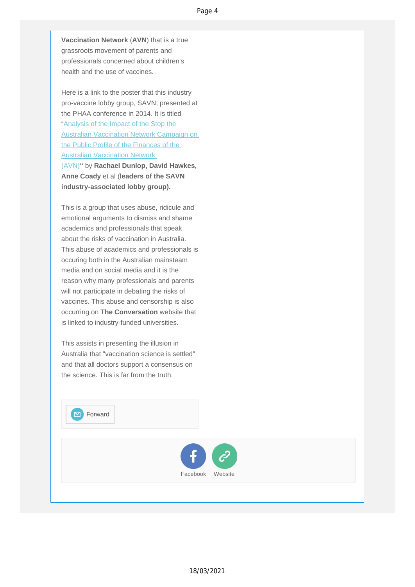**Vaccination Network** (**AVN**) that is a true grassroots movement of parents and professionals concerned about children's health and the use of vaccines.

Here is a link to the poster that this industry pro-vaccine lobby group, SAVN, presented at the PHAA conference in 2014. It is titled "Analysis of the Impact of the Stop the [Australian Vaccination Network Campaign on](https://vaccinationdecisions.us8.list-manage.com/track/click?u=f20605fde3732e41929f4a3f2&id=0e08221b1d&e=fec8337d3c)  [the Public Profile of the Finances of the](https://vaccinationdecisions.us8.list-manage.com/track/click?u=f20605fde3732e41929f4a3f2&id=0e08221b1d&e=fec8337d3c)  [Australian Vaccination Network](https://vaccinationdecisions.us8.list-manage.com/track/click?u=f20605fde3732e41929f4a3f2&id=0e08221b1d&e=fec8337d3c) [\(AVN\)](https://vaccinationdecisions.us8.list-manage.com/track/click?u=f20605fde3732e41929f4a3f2&id=0e08221b1d&e=fec8337d3c)**"** by **Rachael Dunlop, David Hawkes, Anne Coady** et al (**leaders of the SAVN industry-associated lobby group).** 

This is a group that uses abuse, ridicule and emotional arguments to dismiss and shame academics and professionals that speak about the risks of vaccination in Australia. This abuse of academics and professionals is occuring both in the Australian mainsteam media and on social media and it is the reason why many professionals and parents will not participate in debating the risks of vaccines. This abuse and censorship is also occurring on **The Conversation** website that is linked to industry-funded universities.

This assists in presenting the illusion in Australia that "vaccination science is settled" and that all doctors support a consensus on the science. This is far from the truth.